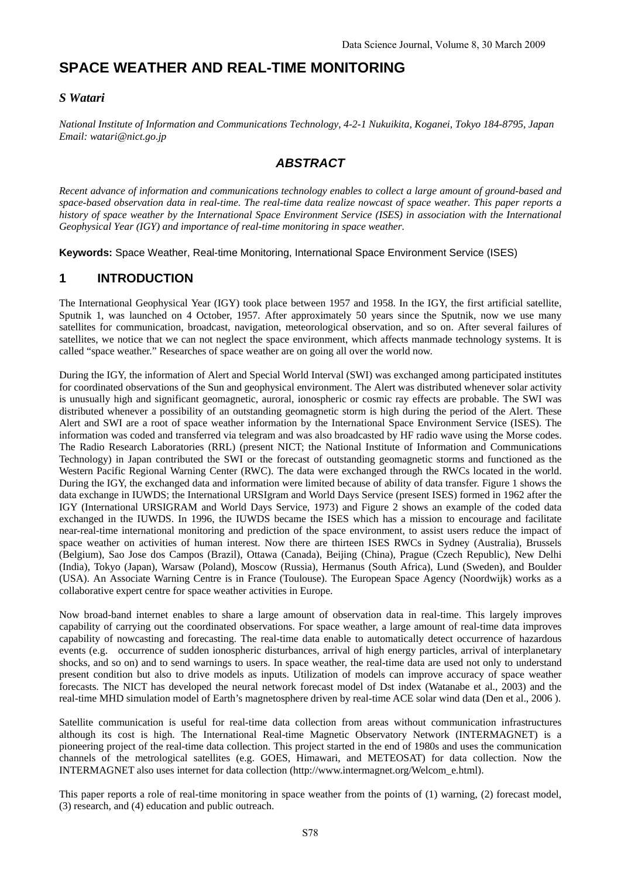# **SPACE WEATHER AND REAL-TIME MONITORING**

#### *S Watari*

*National Institute of Information and Communications Technology, 4-2-1 Nukuikita, Koganei, Tokyo 184-8795, Japan Email: watari@nict.go.jp*

# *ABSTRACT*

*Recent advance of information and communications technology enables to collect a large amount of ground-based and space-based observation data in real-time. The real-time data realize nowcast of space weather. This paper reports a history of space weather by the International Space Environment Service (ISES) in association with the International Geophysical Year (IGY) and importance of real-time monitoring in space weather.*

**Keywords:** Space Weather, Real-time Monitoring, International Space Environment Service (ISES)

### **1 INTRODUCTION**

The International Geophysical Year (IGY) took place between 1957 and 1958. In the IGY, the first artificial satellite, Sputnik 1, was launched on 4 October, 1957. After approximately 50 years since the Sputnik, now we use many satellites for communication, broadcast, navigation, meteorological observation, and so on. After several failures of satellites, we notice that we can not neglect the space environment, which affects manmade technology systems. It is called "space weather." Researches of space weather are on going all over the world now.

During the IGY, the information of Alert and Special World Interval (SWI) was exchanged among participated institutes for coordinated observations of the Sun and geophysical environment. The Alert was distributed whenever solar activity is unusually high and significant geomagnetic, auroral, ionospheric or cosmic ray effects are probable. The SWI was distributed whenever a possibility of an outstanding geomagnetic storm is high during the period of the Alert. These Alert and SWI are a root of space weather information by the International Space Environment Service (ISES). The information was coded and transferred via telegram and was also broadcasted by HF radio wave using the Morse codes. The Radio Research Laboratories (RRL) (present NICT; the National Institute of Information and Communications Technology) in Japan contributed the SWI or the forecast of outstanding geomagnetic storms and functioned as the Western Pacific Regional Warning Center (RWC). The data were exchanged through the RWCs located in the world. During the IGY, the exchanged data and information were limited because of ability of data transfer. Figure 1 shows the data exchange in IUWDS; the International URSIgram and World Days Service (present ISES) formed in 1962 after the IGY (International URSIGRAM and World Days Service, 1973) and Figure 2 shows an example of the coded data exchanged in the IUWDS. In 1996, the IUWDS became the ISES which has a mission to encourage and facilitate near-real-time international monitoring and prediction of the space environment, to assist users reduce the impact of space weather on activities of human interest. Now there are thirteen ISES RWCs in Sydney (Australia), Brussels (Belgium), Sao Jose dos Campos (Brazil), Ottawa (Canada), Beijing (China), Prague (Czech Republic), New Delhi (India), Tokyo (Japan), Warsaw (Poland), Moscow (Russia), Hermanus (South Africa), Lund (Sweden), and Boulder (USA). An Associate Warning Centre is in France (Toulouse). The European Space Agency (Noordwijk) works as a collaborative expert centre for space weather activities in Europe.

Now broad-band internet enables to share a large amount of observation data in real-time. This largely improves capability of carrying out the coordinated observations. For space weather, a large amount of real-time data improves capability of nowcasting and forecasting. The real-time data enable to automatically detect occurrence of hazardous events (e.g. occurrence of sudden ionospheric disturbances, arrival of high energy particles, arrival of interplanetary shocks, and so on) and to send warnings to users. In space weather, the real-time data are used not only to understand present condition but also to drive models as inputs. Utilization of models can improve accuracy of space weather forecasts. The NICT has developed the neural network forecast model of Dst index (Watanabe et al., 2003) and the real-time MHD simulation model of Earth's magnetosphere driven by real-time ACE solar wind data (Den et al., 2006 ).

Satellite communication is useful for real-time data collection from areas without communication infrastructures although its cost is high. The International Real-time Magnetic Observatory Network (INTERMAGNET) is a pioneering project of the real-time data collection. This project started in the end of 1980s and uses the communication channels of the metrological satellites (e.g. GOES, Himawari, and METEOSAT) for data collection. Now the INTERMAGNET also uses internet for data collection (http://www.intermagnet.org/Welcom\_e.html).

This paper reports a role of real-time monitoring in space weather from the points of (1) warning, (2) forecast model, (3) research, and (4) education and public outreach.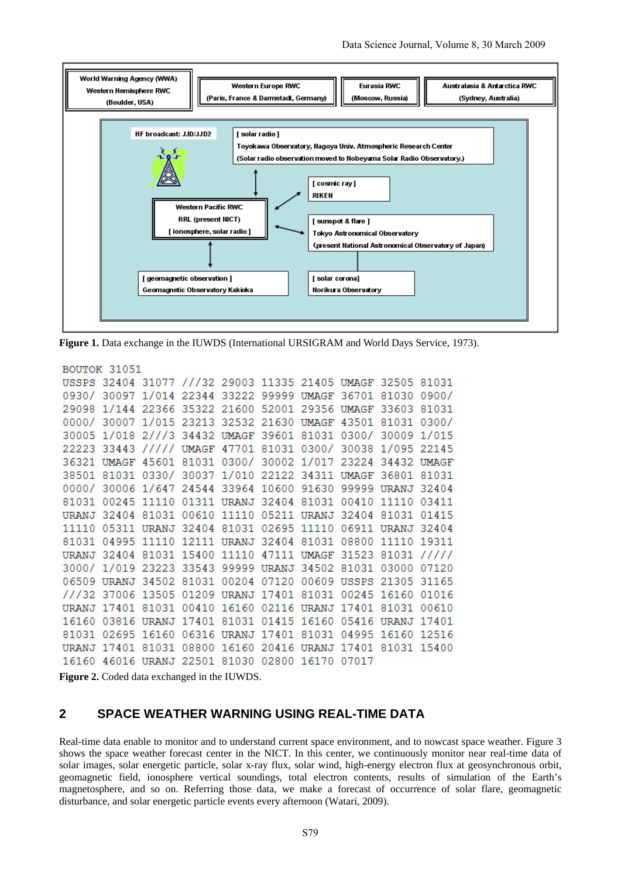

**Figure 1.** Data exchange in the IUWDS (International URSIGRAM and World Days Service, 1973).

```
BOUTOK 31051
```

```
USSPS 32404 31077 ///32 29003 11335 21405 UMAGF 32505 81031
0930/ 30097 1/014 22344 33222 99999 UMAGF 36701 81030 0900/
29098 1/144 22366 35322 21600 52001 29356 UMAGF 33603 81031
0000/ 30007 1/015 23213 32532 21630 UMAGF 43501 81031 0300/
30005 1/018 2///3 34432 UMAGF 39601 81031 0300/ 30009 1/015
22223 33443 ///// UMAGF 47701 81031 0300/ 30038 1/095 22145
36321 UMAGF 45601 81031 0300/ 30002 1/017 23224 34432 UMAGF
38501 81031 0330/ 30037 1/010 22122 34311 UMAGF 36801 81031
0000/ 30006 1/647 24544 33964 10600 91630 99999 URANJ 32404
81031 00245 11110 01311 URANJ 32404 81031 00410 11110 03411
URANJ 32404 81031 00610 11110 05211 URANJ 32404 81031 01415
11110 05311 URANJ 32404 81031 02695 11110 06911 URANJ 32404
81031 04995 11110 12111 URANJ 32404 81031 08800 11110 19311
URANJ 32404 81031 15400 11110 47111 UMAGF 31523 81031 /////
3000/ 1/019 23223 33543 99999 URANJ 34502 81031 03000 07120
06509 URANJ 34502 81031 00204 07120 00609 USSPS 21305 31165
///32 37006 13505 01209 URANJ 17401 81031 00245 16160 01016
URANJ 17401 81031 00410 16160 02116 URANJ 17401 81031 00610
16160 03816 URANJ 17401 81031 01415 16160 05416 URANJ 17401
81031 02695 16160 06316 URANJ 17401 81031 04995 16160 12516
URANJ 17401 81031 08800 16160 20416 URANJ 17401 81031 15400
16160 46016 URANJ 22501 81030 02800 16170 07017
```
**Figure 2.** Coded data exchanged in the IUWDS.

#### **2 SPACE WEATHER WARNING USING REAL-TIME DATA**

Real-time data enable to monitor and to understand current space environment, and to nowcast space weather. Figure 3 shows the space weather forecast center in the NICT. In this center, we continuously monitor near real-time data of solar images, solar energetic particle, solar x-ray flux, solar wind, high-energy electron flux at geosynchronous orbit, geomagnetic field, ionosphere vertical soundings, total electron contents, results of simulation of the Earth's magnetosphere, and so on. Referring those data, we make a forecast of occurrence of solar flare, geomagnetic disturbance, and solar energetic particle events every afternoon (Watari, 2009).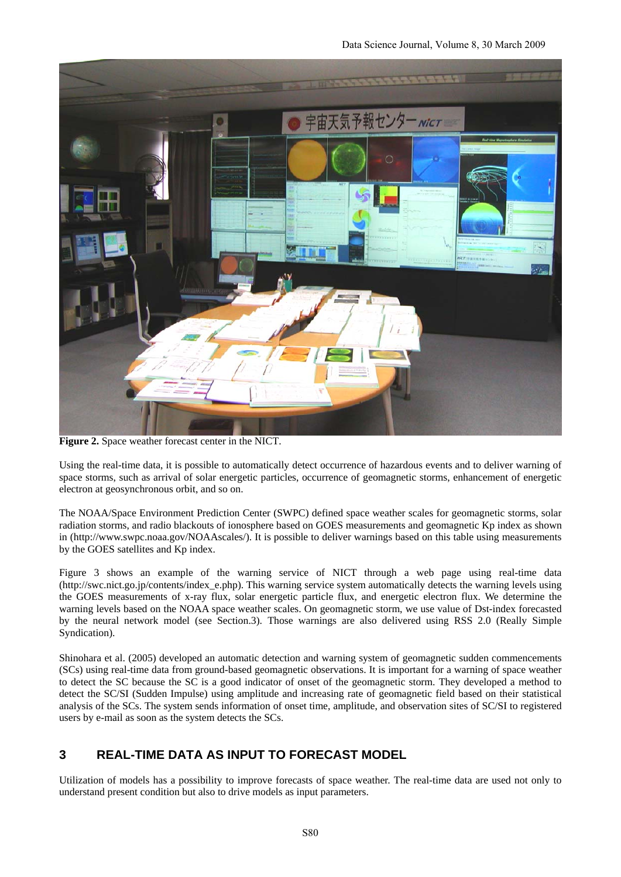

**Figure 2.** Space weather forecast center in the NICT.

Using the real-time data, it is possible to automatically detect occurrence of hazardous events and to deliver warning of space storms, such as arrival of solar energetic particles, occurrence of geomagnetic storms, enhancement of energetic electron at geosynchronous orbit, and so on.

The NOAA/Space Environment Prediction Center (SWPC) defined space weather scales for geomagnetic storms, solar radiation storms, and radio blackouts of ionosphere based on GOES measurements and geomagnetic Kp index as shown in (http://www.swpc.noaa.gov/NOAAscales/). It is possible to deliver warnings based on this table using measurements by the GOES satellites and Kp index.

Figure 3 shows an example of the warning service of NICT through a web page using real-time data (http://swc.nict.go.jp/contents/index\_e.php). This warning service system automatically detects the warning levels using the GOES measurements of x-ray flux, solar energetic particle flux, and energetic electron flux. We determine the warning levels based on the NOAA space weather scales. On geomagnetic storm, we use value of Dst-index forecasted by the neural network model (see Section.3). Those warnings are also delivered using RSS 2.0 (Really Simple Syndication).

Shinohara et al. (2005) developed an automatic detection and warning system of geomagnetic sudden commencements (SCs) using real-time data from ground-based geomagnetic observations. It is important for a warning of space weather to detect the SC because the SC is a good indicator of onset of the geomagnetic storm. They developed a method to detect the SC/SI (Sudden Impulse) using amplitude and increasing rate of geomagnetic field based on their statistical analysis of the SCs. The system sends information of onset time, amplitude, and observation sites of SC/SI to registered users by e-mail as soon as the system detects the SCs.

## **3 REAL-TIME DATA AS INPUT TO FORECAST MODEL**

Utilization of models has a possibility to improve forecasts of space weather. The real-time data are used not only to understand present condition but also to drive models as input parameters.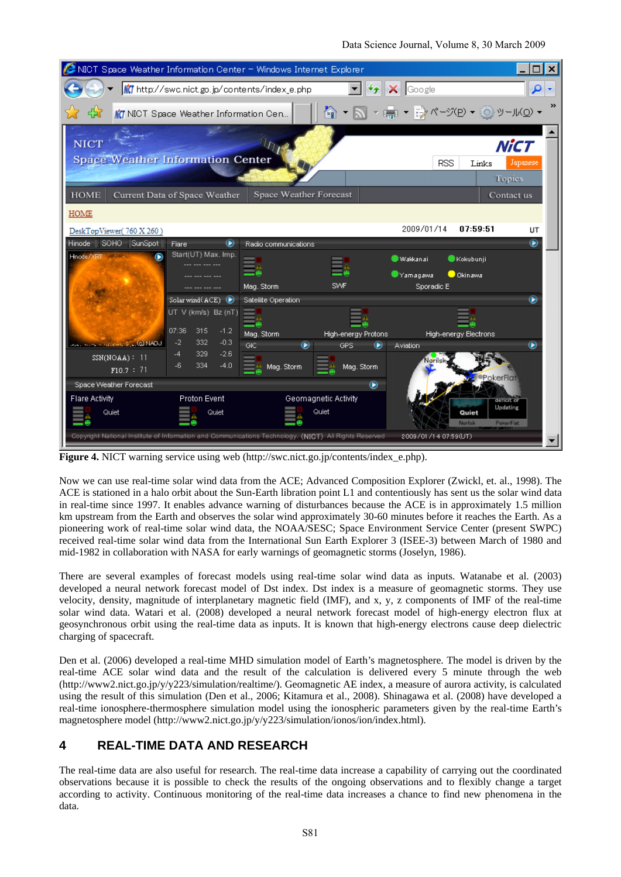| NICT Space Weather Information Center - Windows Internet Explorer                                                             |                                               |                             |                                       |                              |                              |
|-------------------------------------------------------------------------------------------------------------------------------|-----------------------------------------------|-----------------------------|---------------------------------------|------------------------------|------------------------------|
|                                                                                                                               | MC http://swc.nict.go.jp/contents/index_e.php |                             | $\mathcal{L}_{\uparrow}$              | $X$ Google                   |                              |
| ≫<br>Mr NICT Space Weather Information Cen                                                                                    |                                               |                             |                                       |                              |                              |
| <b>NICT</b>                                                                                                                   |                                               |                             |                                       |                              | NiCT                         |
| <b>Space Weather Information Center</b>                                                                                       |                                               |                             |                                       | <b>RSS</b>                   | Japanese<br>Links            |
|                                                                                                                               |                                               |                             |                                       |                              | <b>Topics</b>                |
| Space Weather Forecast<br><b>HOME</b><br>Current Data of Space Weather<br>Contact us                                          |                                               |                             |                                       |                              |                              |
| <b>HOME</b>                                                                                                                   |                                               |                             |                                       |                              |                              |
| DeskTopViewer(760 X 260)                                                                                                      |                                               |                             |                                       | 2009/01/14<br>07:59:51       | UT                           |
| Hinode    SOHO   SunSpot                                                                                                      | Flare<br>⊌                                    | Radio communications        |                                       |                              | $\odot$                      |
| Hnode/XRT                                                                                                                     | Start(UT) Max. Imp.                           |                             |                                       | Wakkanai<br>Kokubunji        |                              |
|                                                                                                                               |                                               |                             |                                       | Okinawa<br>Yamagawa          |                              |
|                                                                                                                               |                                               | Mag. Storm                  | SWF                                   | Sporadic E                   |                              |
|                                                                                                                               | Solar wind $(ACE)$ $\bigoplus$                | Satellite Operation         |                                       |                              | $^\circledR$                 |
|                                                                                                                               | UT V (km/s) Bz (nT)                           |                             |                                       |                              |                              |
|                                                                                                                               | 07:36<br>315<br>$-1.2$                        | Mag. Storm                  | High-energy Protons                   | <b>High-energy Electrons</b> |                              |
| <b>ADAM CONTRACTOR COMPANY</b>                                                                                                | 332<br>$-0.3$<br>$-2$                         | <b>GIC</b><br>$\circledast$ | <b>GPS</b><br>$\qquad \qquad \bullet$ | Aviation                     | $^\circledR$                 |
| $SSN(NOAA)$ : 11                                                                                                              | 329<br>$-2.6$<br>$-4$                         |                             |                                       |                              |                              |
| F10.7 : 71                                                                                                                    | 334<br>$-4.0$<br>$-6$                         | Mag. Storm                  | Mag. Storm                            |                              | <b>•PokerFlat</b>            |
| Space Weather Forecast<br>$^{\circ}$                                                                                          |                                               |                             |                                       |                              |                              |
| <b>Flare Activity</b><br>Proton Event                                                                                         |                                               | Geomagnetic Activity        |                                       |                              | deficit or                   |
| Quiet                                                                                                                         | Quiet                                         |                             | Quiet                                 | Quiet<br>Norlisk             | Updating<br><b>PokerFlat</b> |
| Copyright National Institute of Information and Communications Technology. (NICT) All Rights Reserved<br>2009/01/14 07:59(UT) |                                               |                             |                                       |                              |                              |

**Figure 4.** NICT warning service using web (http://swc.nict.go.jp/contents/index\_e.php).

Now we can use real-time solar wind data from the ACE; Advanced Composition Explorer (Zwickl, et. al., 1998). The ACE is stationed in a halo orbit about the Sun-Earth libration point L1 and contentiously has sent us the solar wind data in real-time since 1997. It enables advance warning of disturbances because the ACE is in approximately 1.5 million km upstream from the Earth and observes the solar wind approximately 30-60 minutes before it reaches the Earth. As a pioneering work of real-time solar wind data, the NOAA/SESC; Space Environment Service Center (present SWPC) received real-time solar wind data from the International Sun Earth Explorer 3 (ISEE-3) between March of 1980 and mid-1982 in collaboration with NASA for early warnings of geomagnetic storms (Joselyn, 1986).

There are several examples of forecast models using real-time solar wind data as inputs. Watanabe et al. (2003) developed a neural network forecast model of Dst index. Dst index is a measure of geomagnetic storms. They use velocity, density, magnitude of interplanetary magnetic field (IMF), and x, y, z components of IMF of the real-time solar wind data. Watari et al. (2008) developed a neural network forecast model of high-energy electron flux at geosynchronous orbit using the real-time data as inputs. It is known that high-energy electrons cause deep dielectric charging of spacecraft.

Den et al. (2006) developed a real-time MHD simulation model of Earth's magnetosphere. The model is driven by the real-time ACE solar wind data and the result of the calculation is delivered every 5 minute through the web (http://www2.nict.go.jp/y/y223/simulation/realtime/). Geomagnetic AE index, a measure of aurora activity, is calculated using the result of this simulation (Den et al., 2006; Kitamura et al., 2008). Shinagawa et al. (2008) have developed a real-time ionosphere-thermosphere simulation model using the ionospheric parameters given by the real-time Earth's magnetosphere model (http://www2.nict.go.jp/y/y223/simulation/ionos/ion/index.html).

### **4 REAL-TIME DATA AND RESEARCH**

The real-time data are also useful for research. The real-time data increase a capability of carrying out the coordinated observations because it is possible to check the results of the ongoing observations and to flexibly change a target according to activity. Continuous monitoring of the real-time data increases a chance to find new phenomena in the data.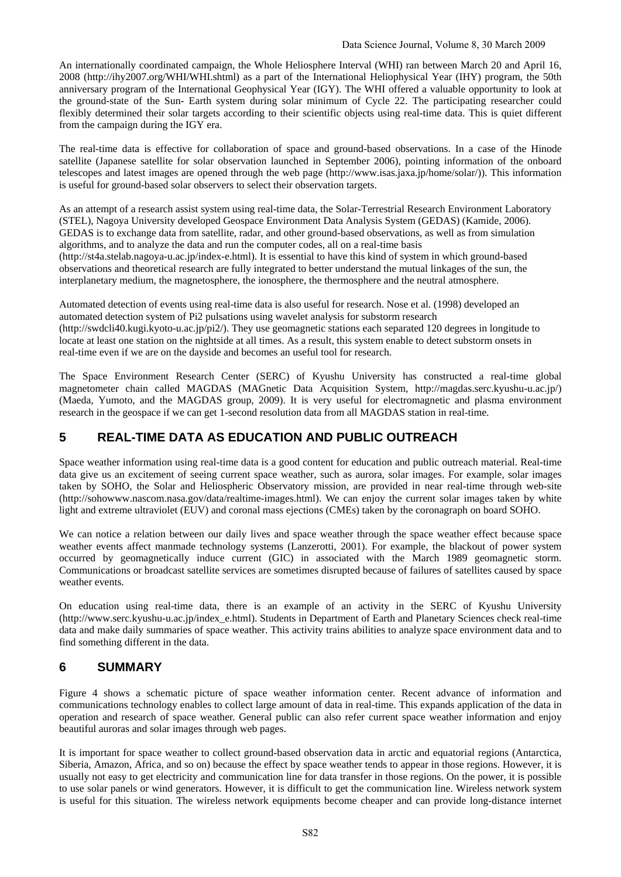An internationally coordinated campaign, the Whole Heliosphere Interval (WHI) ran between March 20 and April 16, 2008 (http://ihy2007.org/WHI/WHI.shtml) as a part of the International Heliophysical Year (IHY) program, the 50th anniversary program of the International Geophysical Year (IGY). The WHI offered a valuable opportunity to look at the ground-state of the Sun- Earth system during solar minimum of Cycle 22. The participating researcher could flexibly determined their solar targets according to their scientific objects using real-time data. This is quiet different from the campaign during the IGY era.

The real-time data is effective for collaboration of space and ground-based observations. In a case of the Hinode satellite (Japanese satellite for solar observation launched in September 2006), pointing information of the onboard telescopes and latest images are opened through the web page (http://www.isas.jaxa.jp/home/solar/)). This information is useful for ground-based solar observers to select their observation targets.

As an attempt of a research assist system using real-time data, the Solar-Terrestrial Research Environment Laboratory (STEL), Nagoya University developed Geospace Environment Data Analysis System (GEDAS) (Kamide, 2006). GEDAS is to exchange data from satellite, radar, and other ground-based observations, as well as from simulation algorithms, and to analyze the data and run the computer codes, all on a real-time basis

(http://st4a.stelab.nagoya-u.ac.jp/index-e.html). It is essential to have this kind of system in which ground-based observations and theoretical research are fully integrated to better understand the mutual linkages of the sun, the interplanetary medium, the magnetosphere, the ionosphere, the thermosphere and the neutral atmosphere.

Automated detection of events using real-time data is also useful for research. Nose et al. (1998) developed an automated detection system of Pi2 pulsations using wavelet analysis for substorm research (http://swdcli40.kugi.kyoto-u.ac.jp/pi2/). They use geomagnetic stations each separated 120 degrees in longitude to locate at least one station on the nightside at all times. As a result, this system enable to detect substorm onsets in real-time even if we are on the dayside and becomes an useful tool for research.

The Space Environment Research Center (SERC) of Kyushu University has constructed a real-time global magnetometer chain called MAGDAS (MAGnetic Data Acquisition System, http://magdas.serc.kyushu-u.ac.jp/) (Maeda, Yumoto, and the MAGDAS group, 2009). It is very useful for electromagnetic and plasma environment research in the geospace if we can get 1-second resolution data from all MAGDAS station in real-time.

# **5 REAL-TIME DATA AS EDUCATION AND PUBLIC OUTREACH**

Space weather information using real-time data is a good content for education and public outreach material. Real-time data give us an excitement of seeing current space weather, such as aurora, solar images. For example, solar images taken by SOHO, the Solar and Heliospheric Observatory mission, are provided in near real-time through web-site (http://sohowww.nascom.nasa.gov/data/realtime-images.html). We can enjoy the current solar images taken by white light and extreme ultraviolet (EUV) and coronal mass ejections (CMEs) taken by the coronagraph on board SOHO.

We can notice a relation between our daily lives and space weather through the space weather effect because space weather events affect manmade technology systems (Lanzerotti, 2001). For example, the blackout of power system occurred by geomagnetically induce current (GIC) in associated with the March 1989 geomagnetic storm. Communications or broadcast satellite services are sometimes disrupted because of failures of satellites caused by space weather events.

On education using real-time data, there is an example of an activity in the SERC of Kyushu University (http://www.serc.kyushu-u.ac.jp/index\_e.html). Students in Department of Earth and Planetary Sciences check real-time data and make daily summaries of space weather. This activity trains abilities to analyze space environment data and to find something different in the data.

## **6 SUMMARY**

Figure 4 shows a schematic picture of space weather information center. Recent advance of information and communications technology enables to collect large amount of data in real-time. This expands application of the data in operation and research of space weather. General public can also refer current space weather information and enjoy beautiful auroras and solar images through web pages.

It is important for space weather to collect ground-based observation data in arctic and equatorial regions (Antarctica, Siberia, Amazon, Africa, and so on) because the effect by space weather tends to appear in those regions. However, it is usually not easy to get electricity and communication line for data transfer in those regions. On the power, it is possible to use solar panels or wind generators. However, it is difficult to get the communication line. Wireless network system is useful for this situation. The wireless network equipments become cheaper and can provide long-distance internet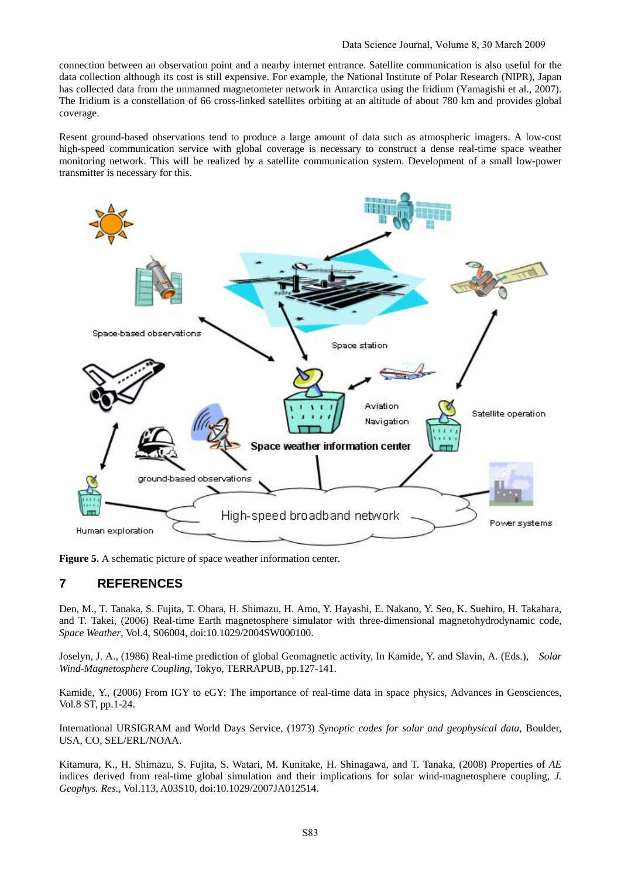connection between an observation point and a nearby internet entrance. Satellite communication is also useful for the data collection although its cost is still expensive. For example, the National Institute of Polar Research (NIPR), Japan has collected data from the unmanned magnetometer network in Antarctica using the Iridium (Yamagishi et al., 2007). The Iridium is a constellation of 66 cross-linked satellites orbiting at an altitude of about 780 km and provides global coverage.

Resent ground-based observations tend to produce a large amount of data such as atmospheric imagers. A low-cost high-speed communication service with global coverage is necessary to construct a dense real-time space weather monitoring network. This will be realized by a satellite communication system. Development of a small low-power transmitter is necessary for this.



**Figure 5.** A schematic picture of space weather information center.

### **7 REFERENCES**

Den, M., T. Tanaka, S. Fujita, T. Obara, H. Shimazu, H. Amo, Y. Hayashi, E. Nakano, Y. Seo, K. Suehiro, H. Takahara, and T. Takei, (2006) Real-time Earth magnetosphere simulator with three-dimensional magnetohydrodynamic code, *Space Weather*, Vol.4, S06004, doi:10.1029/2004SW000100.

Joselyn, J. A., (1986) Real-time prediction of global Geomagnetic activity, In Kamide, Y. and Slavin, A. (Eds.), *Solar Wind-Magnetosphere Coupling*, Tokyo, TERRAPUB, pp.127-141.

Kamide, Y., (2006) From IGY to eGY: The importance of real-time data in space physics, Advances in Geosciences, Vol.8 ST, pp.1-24.

International URSIGRAM and World Days Service, (1973) *Synoptic codes for solar and geophysical data*, Boulder, USA, CO, SEL/ERL/NOAA.

Kitamura, K., H. Shimazu, S. Fujita, S. Watari, M. Kunitake, H. Shinagawa, and T. Tanaka, (2008) Properties of *AE* indices derived from real-time global simulation and their implications for solar wind-magnetosphere coupling, *J. Geophys. Res.*, Vol.113, A03S10, doi:10.1029/2007JA012514.